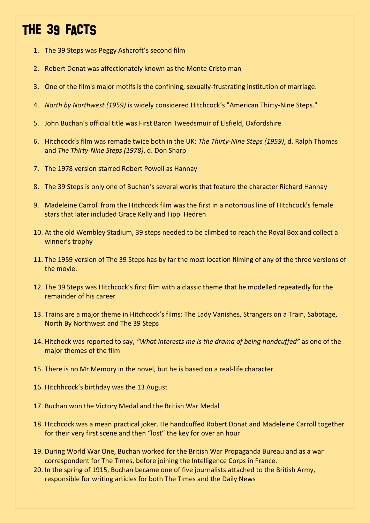## THE 39 FACTS

- 1. The 39 Steps was Peggy Ashcroft's second film
- 2. Robert Donat was affectionately known as the Monte Cristo man
- 3. One of the film's major motifs is the confining, sexually-frustrating institution of marriage.
- 4. *North by Northwest (1959)* is widely considered Hitchcock's "American Thirty-Nine Steps."
- 5. John Buchan's official title was First Baron Tweedsmuir of Elsfield, Oxfordshire
- 6. Hitchcock's film was remade twice both in the UK: *The Thirty-Nine Steps (1959)*, d. Ralph Thomas and *The Thirty-Nine Steps (1978)*, d. Don Sharp
- 7. The 1978 version starred Robert Powell as Hannay
- 8. The 39 Steps is only one of Buchan's several works that feature the character Richard Hannay
- 9. Madeleine Carroll from the Hitchcock film was the first in a notorious line of Hitchcock's female stars that later included Grace Kelly and Tippi Hedren
- 10. At the old Wembley Stadium, 39 steps needed to be climbed to reach the Royal Box and collect a winner's trophy
- 11. The 1959 version of The 39 Steps has by far the most location filming of any of the three versions of the movie.
- 12. The 39 Steps was Hitchcock's first film with a classic theme that he modelled repeatedly for the remainder of his career
- 13. Trains are a major theme in Hitchcock's films: The Lady Vanishes, Strangers on a Train, Sabotage, North By Northwest and The 39 Steps
- 14. Hitchock was reported to say, *"What interests me is the drama of being handcuffed"* as one of the major themes of the film
- 15. There is no Mr Memory in the novel, but he is based on a real-life character
- 16. Hitchhcock's birthday was the 13 August
- 17. Buchan won the Victory Medal and the British War Medal
- 18. Hitchcock was a mean practical joker. He handcuffed Robert Donat and Madeleine Carroll together for their very first scene and then "lost" the key for over an hour
- 19. During World War One, Buchan worked for the British War Propaganda Bureau and as a war correspondent for The Times, before joining the Intelligence Corps in France.
- 20. In the spring of 1915, Buchan became one of five journalists attached to the British Army, responsible for writing articles for both The Times and the Daily News